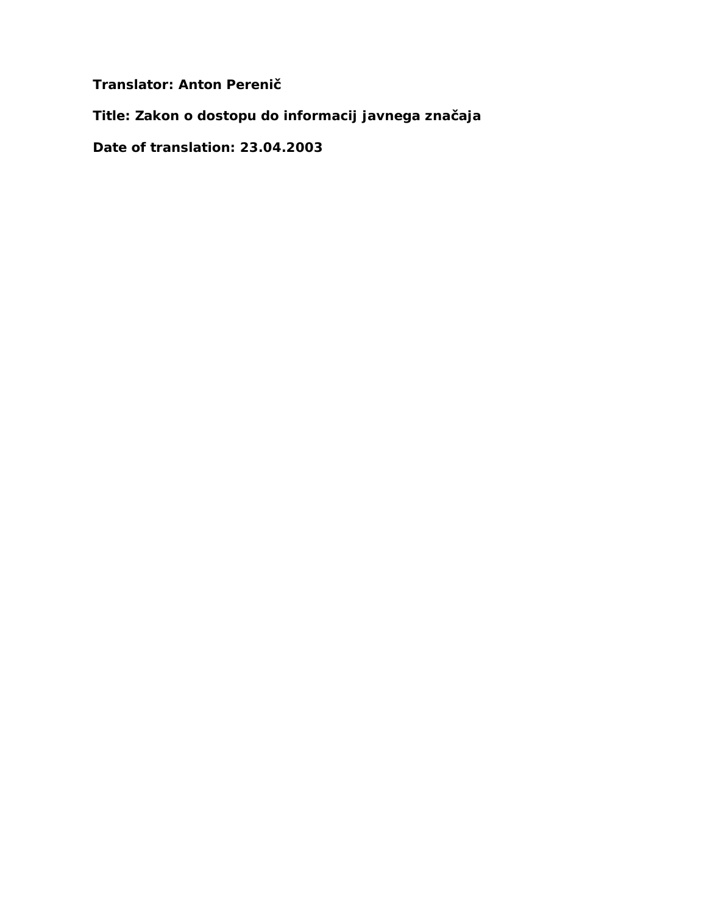**Translator: Anton Perenič**

**Title: Zakon o dostopu do informacij javnega značaja**

**Date of translation: 23.04.2003**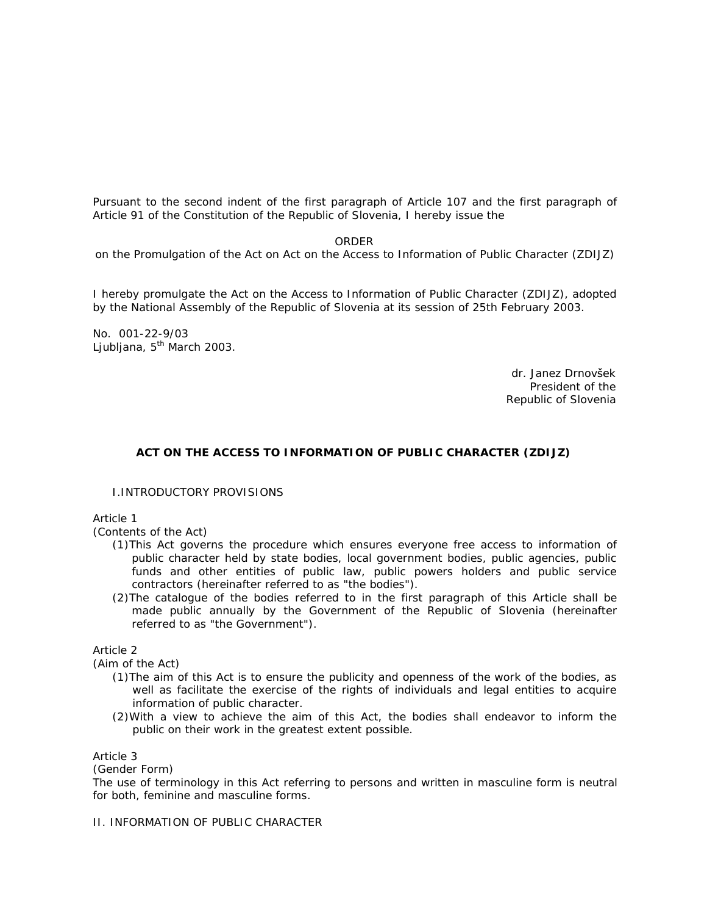Pursuant to the second indent of the first paragraph of Article 107 and the first paragraph of Article 91 of the Constitution of the Republic of Slovenia, I hereby issue the

ORDER

on the Promulgation of the Act on Act on the Access to Information of Public Character (ZDIJZ)

I hereby promulgate the Act on the Access to Information of Public Character (ZDIJZ), adopted by the National Assembly of the Republic of Slovenia at its session of 25th February 2003.

No. 001-22-9/03 Ljubljana, 5<sup>th</sup> March 2003.

> dr. Janez Drnovšek President of the Republic of Slovenia

#### **ACT ON THE ACCESS TO INFORMATION OF PUBLIC CHARACTER (ZDIJZ)**

#### I.INTRODUCTORY PROVISIONS

Article 1

(Contents of the Act)

- (1)This Act governs the procedure which ensures everyone free access to information of public character held by state bodies, local government bodies, public agencies, public funds and other entities of public law, public powers holders and public service contractors (hereinafter referred to as "the bodies").
- (2)The catalogue of the bodies referred to in the first paragraph of this Article shall be made public annually by the Government of the Republic of Slovenia (hereinafter referred to as "the Government").

Article 2

(Aim of the Act)

- (1)The aim of this Act is to ensure the publicity and openness of the work of the bodies, as well as facilitate the exercise of the rights of individuals and legal entities to acquire information of public character.
- (2)With a view to achieve the aim of this Act, the bodies shall endeavor to inform the public on their work in the greatest extent possible.

Article 3

(Gender Form)

The use of terminology in this Act referring to persons and written in masculine form is neutral for both, feminine and masculine forms.

II. INFORMATION OF PUBLIC CHARACTER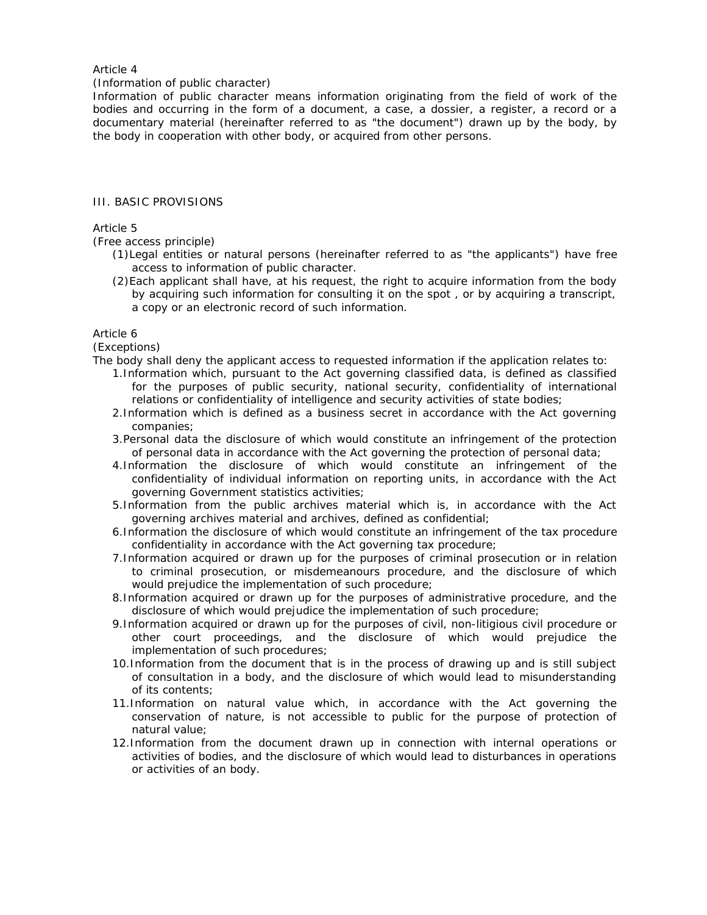#### Article 4

#### (Information of public character)

Information of public character means information originating from the field of work of the bodies and occurring in the form of a document, a case, a dossier, a register, a record or a documentary material (hereinafter referred to as "the document") drawn up by the body, by the body in cooperation with other body, or acquired from other persons.

#### III. BASIC PROVISIONS

#### Article 5

(Free access principle)

- (1)Legal entities or natural persons (hereinafter referred to as "the applicants") have free access to information of public character.
- (2)Each applicant shall have, at his request, the right to acquire information from the body by acquiring such information for consulting it on the spot , or by acquiring a transcript, a copy or an electronic record of such information.

#### Article 6

(Exceptions)

The body shall deny the applicant access to requested information if the application relates to:

- 1.Information which, pursuant to the Act governing classified data, is defined as classified for the purposes of public security, national security, confidentiality of international relations or confidentiality of intelligence and security activities of state bodies;
- 2.Information which is defined as a business secret in accordance with the Act governing companies;
- 3.Personal data the disclosure of which would constitute an infringement of the protection of personal data in accordance with the Act governing the protection of personal data;
- 4.Information the disclosure of which would constitute an infringement of the confidentiality of individual information on reporting units, in accordance with the Act governing Government statistics activities;
- 5.Information from the public archives material which is, in accordance with the Act governing archives material and archives, defined as confidential;
- 6.Information the disclosure of which would constitute an infringement of the tax procedure confidentiality in accordance with the Act governing tax procedure;
- 7.Information acquired or drawn up for the purposes of criminal prosecution or in relation to criminal prosecution, or misdemeanours procedure, and the disclosure of which would prejudice the implementation of such procedure;
- 8.Information acquired or drawn up for the purposes of administrative procedure, and the disclosure of which would prejudice the implementation of such procedure;
- 9.Information acquired or drawn up for the purposes of civil, non-litigious civil procedure or other court proceedings, and the disclosure of which would prejudice the implementation of such procedures;
- 10.Information from the document that is in the process of drawing up and is still subject of consultation in a body, and the disclosure of which would lead to misunderstanding of its contents;
- 11.Information on natural value which, in accordance with the Act governing the conservation of nature, is not accessible to public for the purpose of protection of natural value;
- 12.Information from the document drawn up in connection with internal operations or activities of bodies, and the disclosure of which would lead to disturbances in operations or activities of an body.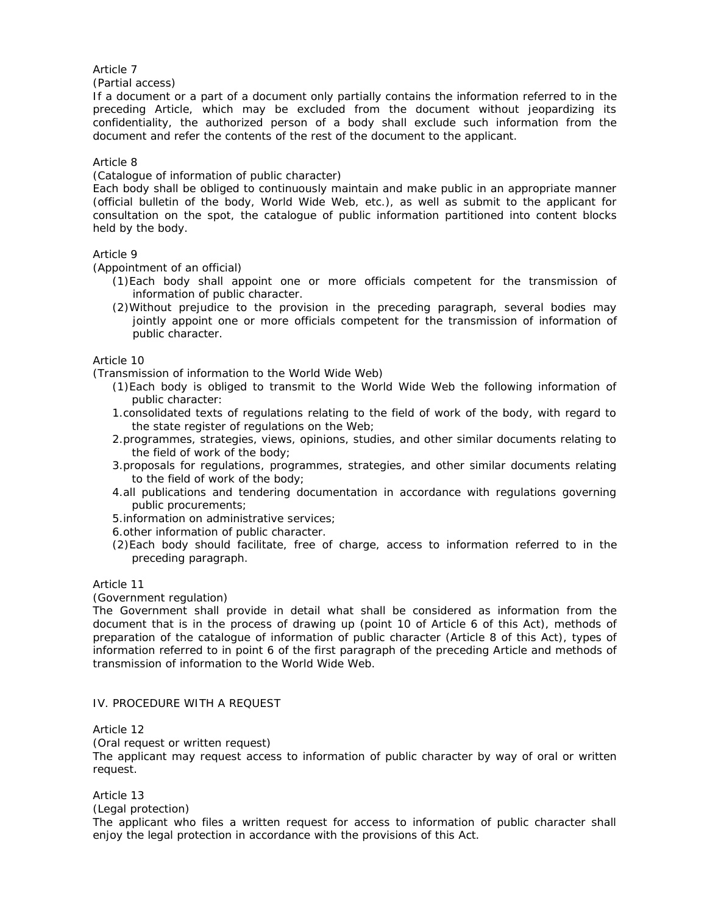Article 7

(Partial access)

If a document or a part of a document only partially contains the information referred to in the preceding Article, which may be excluded from the document without jeopardizing its confidentiality, the authorized person of a body shall exclude such information from the document and refer the contents of the rest of the document to the applicant.

## Article 8

(Catalogue of information of public character)

Each body shall be obliged to continuously maintain and make public in an appropriate manner (official bulletin of the body, World Wide Web, etc.), as well as submit to the applicant for consultation on the spot, the catalogue of public information partitioned into content blocks held by the body.

## Article 9

(Appointment of an official)

- (1)Each body shall appoint one or more officials competent for the transmission of information of public character.
- (2)Without prejudice to the provision in the preceding paragraph, several bodies may jointly appoint one or more officials competent for the transmission of information of public character.

Article 10

(Transmission of information to the World Wide Web)

- (1)Each body is obliged to transmit to the World Wide Web the following information of public character:
- 1.consolidated texts of regulations relating to the field of work of the body, with regard to the state register of regulations on the Web;
- 2.programmes, strategies, views, opinions, studies, and other similar documents relating to the field of work of the body;
- 3.proposals for regulations, programmes, strategies, and other similar documents relating to the field of work of the body;
- 4.all publications and tendering documentation in accordance with regulations governing public procurements;
- 5.information on administrative services;
- 6.other information of public character.
- (2)Each body should facilitate, free of charge, access to information referred to in the preceding paragraph.

#### Article 11

(Government regulation)

The Government shall provide in detail what shall be considered as information from the document that is in the process of drawing up (point 10 of Article 6 of this Act), methods of preparation of the catalogue of information of public character (Article 8 of this Act), types of information referred to in point 6 of the first paragraph of the preceding Article and methods of transmission of information to the World Wide Web.

## IV. PROCEDURE WITH A REQUEST

#### Article 12

(Oral request or written request)

The applicant may request access to information of public character by way of oral or written request.

Article 13

(Legal protection)

The applicant who files a written request for access to information of public character shall enjoy the legal protection in accordance with the provisions of this Act.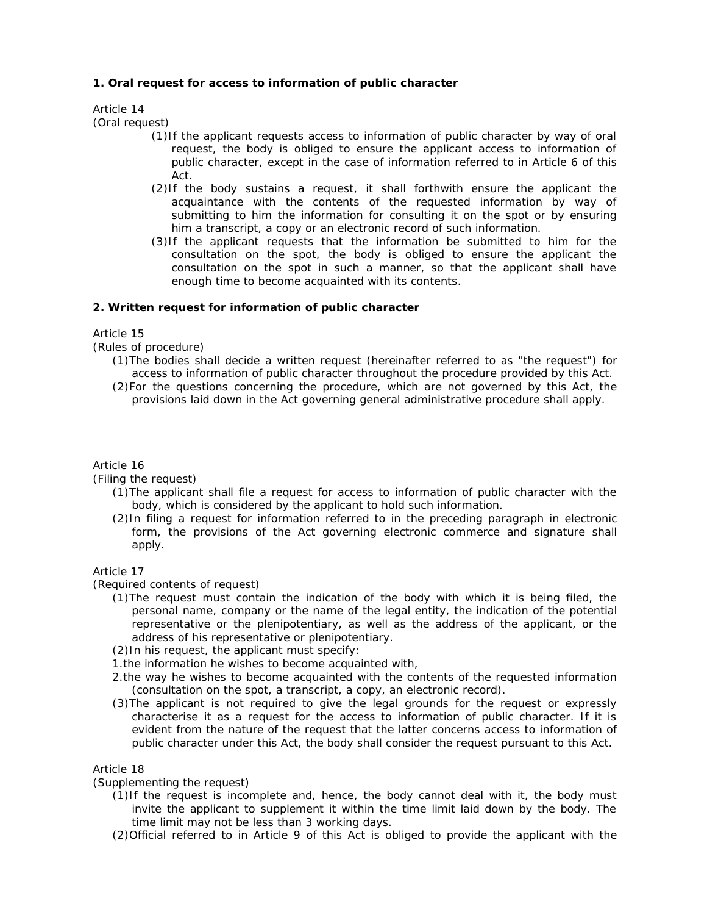## **1. Oral request for access to information of public character**

# Article 14

(Oral request)

- (1)If the applicant requests access to information of public character by way of oral request, the body is obliged to ensure the applicant access to information of public character, except in the case of information referred to in Article 6 of this Act.
- (2)If the body sustains a request, it shall forthwith ensure the applicant the acquaintance with the contents of the requested information by way of submitting to him the information for consulting it on the spot or by ensuring him a transcript, a copy or an electronic record of such information.
- (3)If the applicant requests that the information be submitted to him for the consultation on the spot, the body is obliged to ensure the applicant the consultation on the spot in such a manner, so that the applicant shall have enough time to become acquainted with its contents.

## **2. Written request for information of public character**

Article 15

(Rules of procedure)

- (1)The bodies shall decide a written request (hereinafter referred to as "the request") for access to information of public character throughout the procedure provided by this Act.
- (2)For the questions concerning the procedure, which are not governed by this Act, the provisions laid down in the Act governing general administrative procedure shall apply.

#### Article 16

(Filing the request)

- (1)The applicant shall file a request for access to information of public character with the body, which is considered by the applicant to hold such information.
- (2)In filing a request for information referred to in the preceding paragraph in electronic form, the provisions of the Act governing electronic commerce and signature shall apply.

### Article 17

(Required contents of request)

(1)The request must contain the indication of the body with which it is being filed, the personal name, company or the name of the legal entity, the indication of the potential representative or the plenipotentiary, as well as the address of the applicant, or the address of his representative or plenipotentiary.

(2)In his request, the applicant must specify:

- 1.the information he wishes to become acquainted with,
- 2.the way he wishes to become acquainted with the contents of the requested information (consultation on the spot, a transcript, a copy, an electronic record).
- (3)The applicant is not required to give the legal grounds for the request or expressly characterise it as a request for the access to information of public character. If it is evident from the nature of the request that the latter concerns access to information of public character under this Act, the body shall consider the request pursuant to this Act.

# Article 18

(Supplementing the request)

- (1)If the request is incomplete and, hence, the body cannot deal with it, the body must invite the applicant to supplement it within the time limit laid down by the body. The time limit may not be less than 3 working days.
- (2)Official referred to in Article 9 of this Act is obliged to provide the applicant with the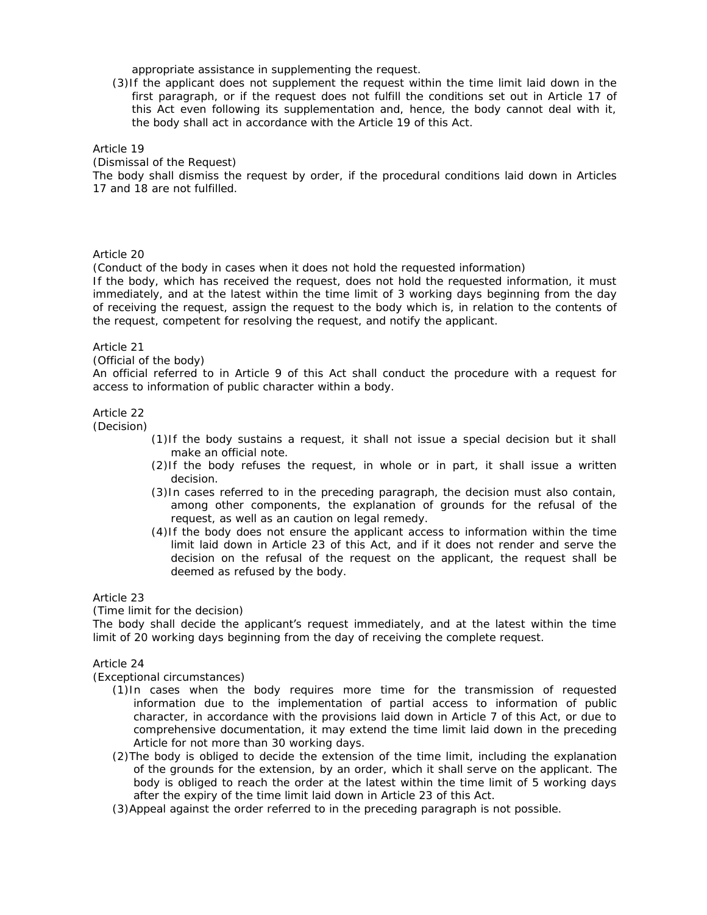appropriate assistance in supplementing the request.

(3)If the applicant does not supplement the request within the time limit laid down in the first paragraph, or if the request does not fulfill the conditions set out in Article 17 of this Act even following its supplementation and, hence, the body cannot deal with it, the body shall act in accordance with the Article 19 of this Act.

Article 19

(Dismissal of the Request)

The body shall dismiss the request by order, if the procedural conditions laid down in Articles 17 and 18 are not fulfilled.

## Article 20

(Conduct of the body in cases when it does not hold the requested information)

If the body, which has received the request, does not hold the requested information, it must immediately, and at the latest within the time limit of 3 working days beginning from the day of receiving the request, assign the request to the body which is, in relation to the contents of the request, competent for resolving the request, and notify the applicant.

#### Article 21

(Official of the body)

An official referred to in Article 9 of this Act shall conduct the procedure with a request for access to information of public character within a body.

#### Article 22

(Decision)

- (1)If the body sustains a request, it shall not issue a special decision but it shall make an official note.
- (2)If the body refuses the request, in whole or in part, it shall issue a written decision.
- (3)In cases referred to in the preceding paragraph, the decision must also contain, among other components, the explanation of grounds for the refusal of the request, as well as an caution on legal remedy.
- (4)If the body does not ensure the applicant access to information within the time limit laid down in Article 23 of this Act, and if it does not render and serve the decision on the refusal of the request on the applicant, the request shall be deemed as refused by the body.

Article 23

(Time limit for the decision)

The body shall decide the applicant's request immediately, and at the latest within the time limit of 20 working days beginning from the day of receiving the complete request.

Article 24

(Exceptional circumstances)

- (1)In cases when the body requires more time for the transmission of requested information due to the implementation of partial access to information of public character, in accordance with the provisions laid down in Article 7 of this Act, or due to comprehensive documentation, it may extend the time limit laid down in the preceding Article for not more than 30 working days.
- (2)The body is obliged to decide the extension of the time limit, including the explanation of the grounds for the extension, by an order, which it shall serve on the applicant. The body is obliged to reach the order at the latest within the time limit of 5 working days after the expiry of the time limit laid down in Article 23 of this Act.
- (3)Appeal against the order referred to in the preceding paragraph is not possible.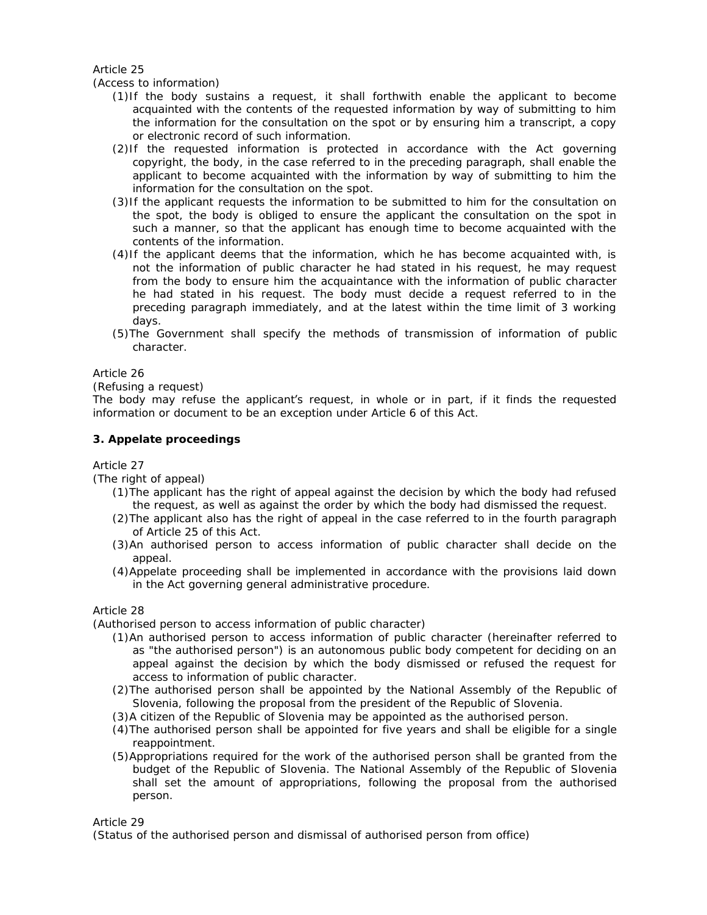## Article 25

### (Access to information)

- (1)If the body sustains a request, it shall forthwith enable the applicant to become acquainted with the contents of the requested information by way of submitting to him the information for the consultation on the spot or by ensuring him a transcript, a copy or electronic record of such information.
- (2)If the requested information is protected in accordance with the Act governing copyright, the body, in the case referred to in the preceding paragraph, shall enable the applicant to become acquainted with the information by way of submitting to him the information for the consultation on the spot.
- (3)If the applicant requests the information to be submitted to him for the consultation on the spot, the body is obliged to ensure the applicant the consultation on the spot in such a manner, so that the applicant has enough time to become acquainted with the contents of the information.
- (4)If the applicant deems that the information, which he has become acquainted with, is not the information of public character he had stated in his request, he may request from the body to ensure him the acquaintance with the information of public character he had stated in his request. The body must decide a request referred to in the preceding paragraph immediately, and at the latest within the time limit of 3 working days.
- (5)The Government shall specify the methods of transmission of information of public character.

#### Article 26

## (Refusing a request)

The body may refuse the applicant's request, in whole or in part, if it finds the requested information or document to be an exception under Article 6 of this Act.

## **3. Appelate proceedings**

#### Article 27

(The right of appeal)

- (1)The applicant has the right of appeal against the decision by which the body had refused the request, as well as against the order by which the body had dismissed the request.
- (2)The applicant also has the right of appeal in the case referred to in the fourth paragraph of Article 25 of this Act.
- (3)An authorised person to access information of public character shall decide on the appeal.
- (4)Appelate proceeding shall be implemented in accordance with the provisions laid down in the Act governing general administrative procedure.

#### Article 28

(Authorised person to access information of public character)

- (1)An authorised person to access information of public character (hereinafter referred to as "the authorised person") is an autonomous public body competent for deciding on an appeal against the decision by which the body dismissed or refused the request for access to information of public character.
- (2)The authorised person shall be appointed by the National Assembly of the Republic of Slovenia, following the proposal from the president of the Republic of Slovenia.
- (3)A citizen of the Republic of Slovenia may be appointed as the authorised person.
- (4)The authorised person shall be appointed for five years and shall be eligible for a single reappointment.
- (5)Appropriations required for the work of the authorised person shall be granted from the budget of the Republic of Slovenia. The National Assembly of the Republic of Slovenia shall set the amount of appropriations, following the proposal from the authorised person.

Article 29

(Status of the authorised person and dismissal of authorised person from office)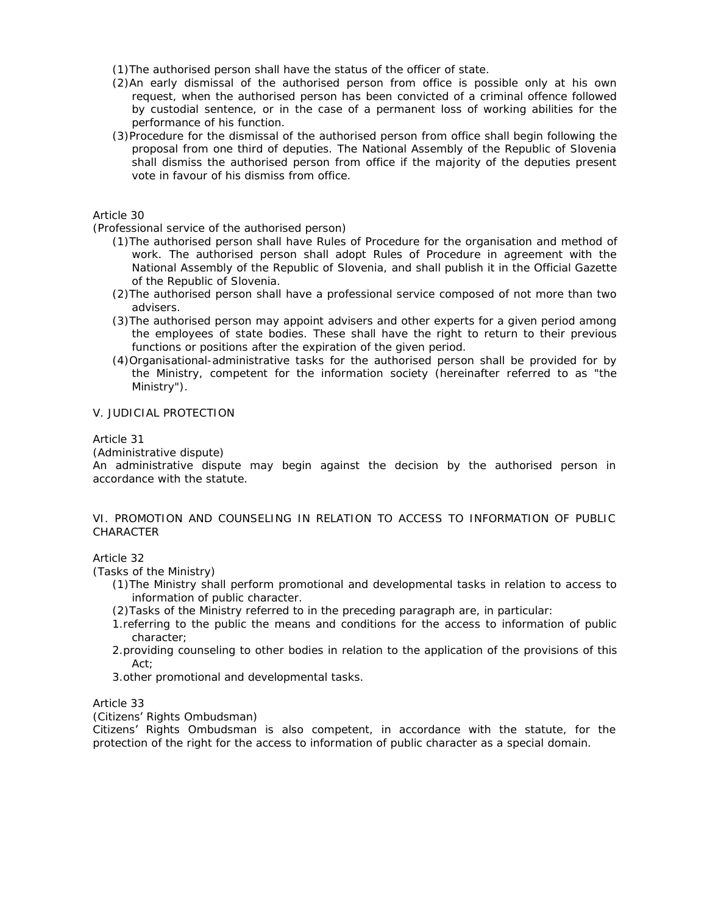(1)The authorised person shall have the status of the officer of state.

- (2)An early dismissal of the authorised person from office is possible only at his own request, when the authorised person has been convicted of a criminal offence followed by custodial sentence, or in the case of a permanent loss of working abilities for the performance of his function.
- (3)Procedure for the dismissal of the authorised person from office shall begin following the proposal from one third of deputies. The National Assembly of the Republic of Slovenia shall dismiss the authorised person from office if the majority of the deputies present vote in favour of his dismiss from office.

Article 30

(Professional service of the authorised person)

- (1)The authorised person shall have Rules of Procedure for the organisation and method of work. The authorised person shall adopt Rules of Procedure in agreement with the National Assembly of the Republic of Slovenia, and shall publish it in the Official Gazette of the Republic of Slovenia.
- (2)The authorised person shall have a professional service composed of not more than two advisers.
- (3)The authorised person may appoint advisers and other experts for a given period among the employees of state bodies. These shall have the right to return to their previous functions or positions after the expiration of the given period.
- (4)Organisational-administrative tasks for the authorised person shall be provided for by the Ministry, competent for the information society (hereinafter referred to as "the Ministry").

# V. JUDICIAL PROTECTION

#### Article 31

(Administrative dispute)

An administrative dispute may begin against the decision by the authorised person in accordance with the statute.

#### VI. PROMOTION AND COUNSELING IN RELATION TO ACCESS TO INFORMATION OF PUBLIC CHARACTER

Article 32

(Tasks of the Ministry)

- (1)The Ministry shall perform promotional and developmental tasks in relation to access to information of public character.
- (2)Tasks of the Ministry referred to in the preceding paragraph are, in particular:
- 1.referring to the public the means and conditions for the access to information of public character;
- 2.providing counseling to other bodies in relation to the application of the provisions of this Act;
- 3.other promotional and developmental tasks.

#### Article 33

(Citizens' Rights Ombudsman)

Citizens' Rights Ombudsman is also competent, in accordance with the statute, for the protection of the right for the access to information of public character as a special domain.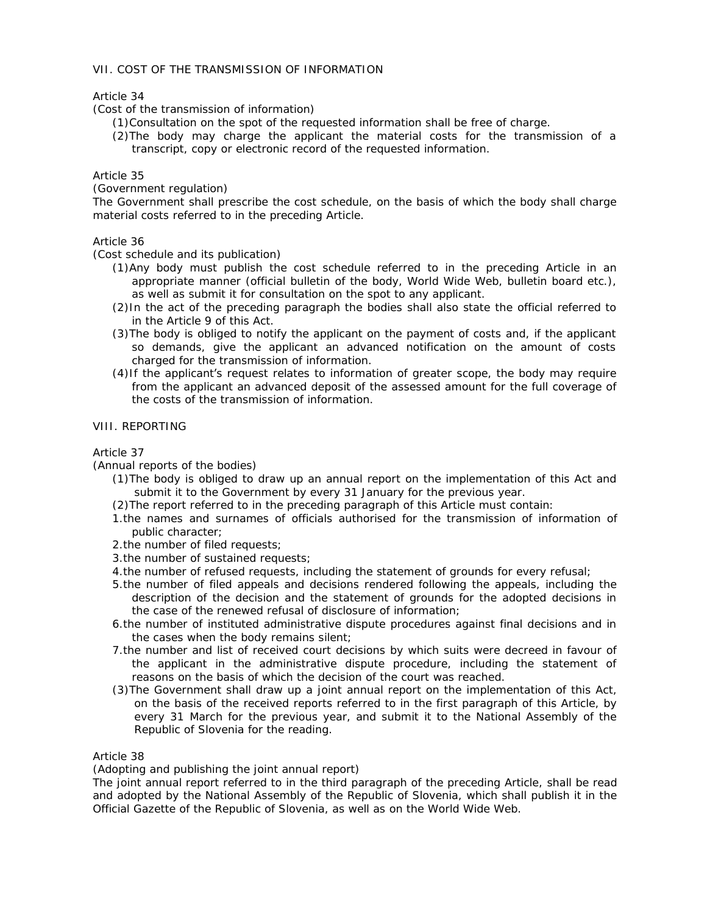## VII. COST OF THE TRANSMISSION OF INFORMATION

## Article 34

(Cost of the transmission of information)

- (1)Consultation on the spot of the requested information shall be free of charge.
- (2)The body may charge the applicant the material costs for the transmission of a transcript, copy or electronic record of the requested information.

## Article 35

(Government regulation)

The Government shall prescribe the cost schedule, on the basis of which the body shall charge material costs referred to in the preceding Article.

## Article 36

(Cost schedule and its publication)

- (1)Any body must publish the cost schedule referred to in the preceding Article in an appropriate manner (official bulletin of the body, World Wide Web, bulletin board etc.), as well as submit it for consultation on the spot to any applicant.
- (2)In the act of the preceding paragraph the bodies shall also state the official referred to in the Article 9 of this Act.
- (3)The body is obliged to notify the applicant on the payment of costs and, if the applicant so demands, give the applicant an advanced notification on the amount of costs charged for the transmission of information.
- (4)If the applicant's request relates to information of greater scope, the body may require from the applicant an advanced deposit of the assessed amount for the full coverage of the costs of the transmission of information.

# VIII. REPORTING

### Article 37

(Annual reports of the bodies)

- (1)The body is obliged to draw up an annual report on the implementation of this Act and submit it to the Government by every 31 January for the previous year.
- (2)The report referred to in the preceding paragraph of this Article must contain:
- 1.the names and surnames of officials authorised for the transmission of information of public character;
- 2.the number of filed requests;
- 3.the number of sustained requests;
- 4.the number of refused requests, including the statement of grounds for every refusal;
- 5.the number of filed appeals and decisions rendered following the appeals, including the description of the decision and the statement of grounds for the adopted decisions in the case of the renewed refusal of disclosure of information;
- 6.the number of instituted administrative dispute procedures against final decisions and in the cases when the body remains silent;
- 7.the number and list of received court decisions by which suits were decreed in favour of the applicant in the administrative dispute procedure, including the statement of reasons on the basis of which the decision of the court was reached.
- (3)The Government shall draw up a joint annual report on the implementation of this Act, on the basis of the received reports referred to in the first paragraph of this Article, by every 31 March for the previous year, and submit it to the National Assembly of the Republic of Slovenia for the reading.

#### Article 38

(Adopting and publishing the joint annual report)

The joint annual report referred to in the third paragraph of the preceding Article, shall be read and adopted by the National Assembly of the Republic of Slovenia, which shall publish it in the Official Gazette of the Republic of Slovenia, as well as on the World Wide Web.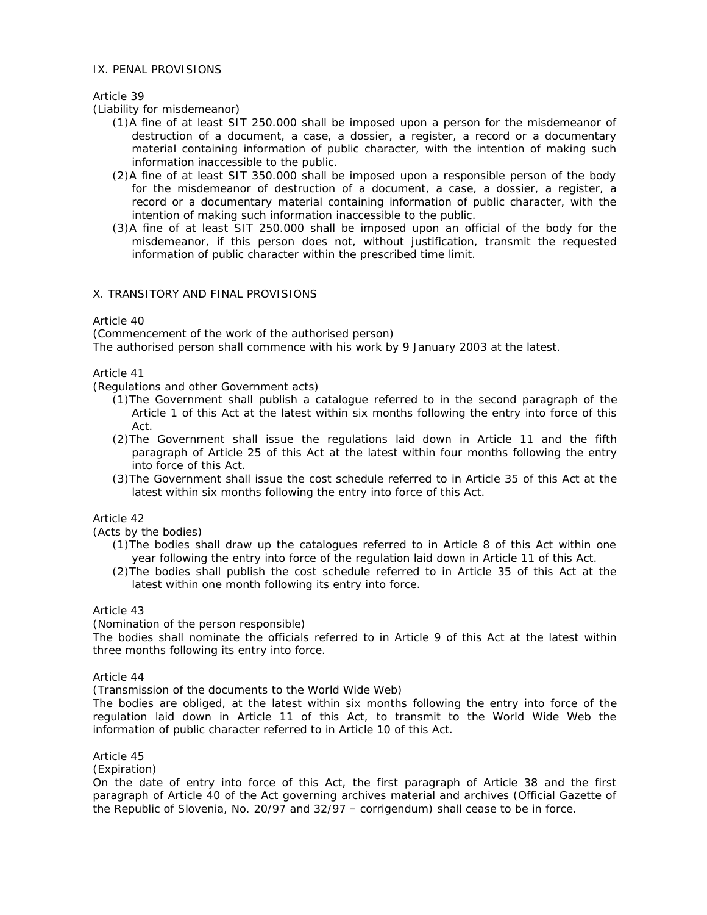#### IX. PENAL PROVISIONS

## Article 39

(Liability for misdemeanor)

- (1)A fine of at least SIT 250.000 shall be imposed upon a person for the misdemeanor of destruction of a document, a case, a dossier, a register, a record or a documentary material containing information of public character, with the intention of making such information inaccessible to the public.
- (2)A fine of at least SIT 350.000 shall be imposed upon a responsible person of the body for the misdemeanor of destruction of a document, a case, a dossier, a register, a record or a documentary material containing information of public character, with the intention of making such information inaccessible to the public.
- (3)A fine of at least SIT 250.000 shall be imposed upon an official of the body for the misdemeanor, if this person does not, without justification, transmit the requested information of public character within the prescribed time limit.

## X. TRANSITORY AND FINAL PROVISIONS

Article 40

(Commencement of the work of the authorised person)

The authorised person shall commence with his work by 9 January 2003 at the latest.

Article 41

(Regulations and other Government acts)

- (1)The Government shall publish a catalogue referred to in the second paragraph of the Article 1 of this Act at the latest within six months following the entry into force of this Act.
- (2)The Government shall issue the regulations laid down in Article 11 and the fifth paragraph of Article 25 of this Act at the latest within four months following the entry into force of this Act.
- (3)The Government shall issue the cost schedule referred to in Article 35 of this Act at the latest within six months following the entry into force of this Act.

## Article 42

(Acts by the bodies)

- (1)The bodies shall draw up the catalogues referred to in Article 8 of this Act within one year following the entry into force of the regulation laid down in Article 11 of this Act.
- (2)The bodies shall publish the cost schedule referred to in Article 35 of this Act at the latest within one month following its entry into force.

Article 43

(Nomination of the person responsible)

The bodies shall nominate the officials referred to in Article 9 of this Act at the latest within three months following its entry into force.

Article 44

(Transmission of the documents to the World Wide Web)

The bodies are obliged, at the latest within six months following the entry into force of the regulation laid down in Article 11 of this Act, to transmit to the World Wide Web the information of public character referred to in Article 10 of this Act.

Article 45

(Expiration)

On the date of entry into force of this Act, the first paragraph of Article 38 and the first paragraph of Article 40 of the Act governing archives material and archives (Official Gazette of the Republic of Slovenia, No. 20/97 and 32/97 – corrigendum) shall cease to be in force.